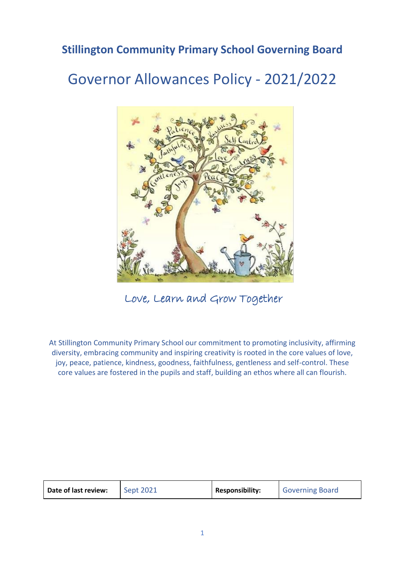### **Stillington Community Primary School Governing Board**

# Governor Allowances Policy - 2021/2022



Love, Learn and Grow Together

At Stillington Community Primary School our commitment to promoting inclusivity, affirming diversity, embracing community and inspiring creativity is rooted in the core values of love, joy, peace, patience, kindness, goodness, faithfulness, gentleness and self-control. These core values are fostered in the pupils and staff, building an ethos where all can flourish.

| Date of last review: | <b>Sept 2021</b> | <b>Responsibility:</b> | Governing Board |
|----------------------|------------------|------------------------|-----------------|
|----------------------|------------------|------------------------|-----------------|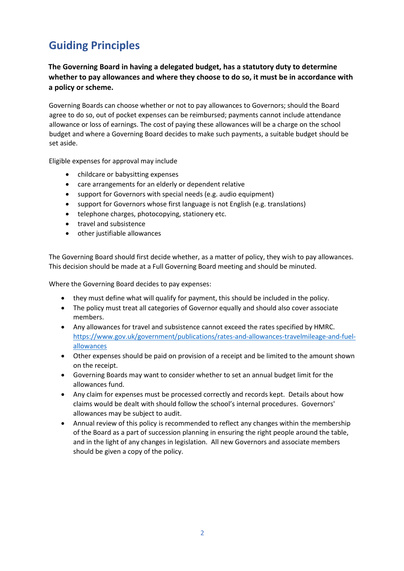## **Guiding Principles**

**The Governing Board in having a delegated budget, has a statutory duty to determine whether to pay allowances and where they choose to do so, it must be in accordance with a policy or scheme.** 

Governing Boards can choose whether or not to pay allowances to Governors; should the Board agree to do so, out of pocket expenses can be reimbursed; payments cannot include attendance allowance or loss of earnings. The cost of paying these allowances will be a charge on the school budget and where a Governing Board decides to make such payments, a suitable budget should be set aside.

Eligible expenses for approval may include

- childcare or babysitting expenses
- care arrangements for an elderly or dependent relative
- support for Governors with special needs (e.g. audio equipment)
- support for Governors whose first language is not English (e.g. translations)
- telephone charges, photocopying, stationery etc.
- travel and subsistence
- other justifiable allowances

The Governing Board should first decide whether, as a matter of policy, they wish to pay allowances. This decision should be made at a Full Governing Board meeting and should be minuted.

Where the Governing Board decides to pay expenses:

- they must define what will qualify for payment, this should be included in the policy.
- The policy must treat all categories of Governor equally and should also cover associate members.
- Any allowances for travel and subsistence cannot exceed the rates specified by HMRC. [https://www.gov.uk/government/publications/rates-and-allowances-travelmileage-and-fuel](https://www.gov.uk/government/publications/rates-and-allowances-travel-mileage-and-fuel-allowances)[allowances](https://www.gov.uk/government/publications/rates-and-allowances-travel-mileage-and-fuel-allowances)
- Other expenses should be paid on provision of a receipt and be limited to the amount shown on the receipt.
- Governing Boards may want to consider whether to set an annual budget limit for the allowances fund.
- Any claim for expenses must be processed correctly and records kept. Details about how claims would be dealt with should follow the school's internal procedures. Governors' allowances may be subject to audit.
- Annual review of this policy is recommended to reflect any changes within the membership of the Board as a part of succession planning in ensuring the right people around the table, and in the light of any changes in legislation. All new Governors and associate members should be given a copy of the policy.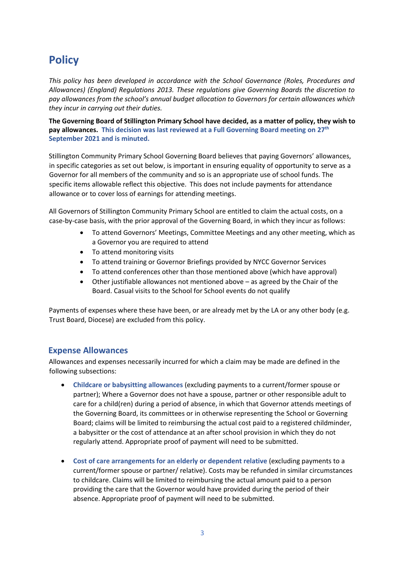### **Policy**

*This policy has been developed in accordance with the School Governance (Roles, Procedures and Allowances) (England) Regulations 2013. These regulations give Governing Boards the discretion to pay allowances from the school's annual budget allocation to Governors for certain allowances which they incur in carrying out their duties.* 

**The Governing Board of Stillington Primary School have decided, as a matter of policy, they wish to pay allowances. This decision was last reviewed at a Full Governing Board meeting on 27th September 2021 and is minuted.** 

Stillington Community Primary School Governing Board believes that paying Governors' allowances, in specific categories as set out below, is important in ensuring equality of opportunity to serve as a Governor for all members of the community and so is an appropriate use of school funds. The specific items allowable reflect this objective. This does not include payments for attendance allowance or to cover loss of earnings for attending meetings.

All Governors of Stillington Community Primary School are entitled to claim the actual costs, on a case-by-case basis, with the prior approval of the Governing Board, in which they incur as follows:

- To attend Governors' Meetings, Committee Meetings and any other meeting, which as a Governor you are required to attend
- To attend monitoring visits
- To attend training or Governor Briefings provided by NYCC Governor Services
- To attend conferences other than those mentioned above (which have approval)
- Other justifiable allowances not mentioned above as agreed by the Chair of the Board. Casual visits to the School for School events do not qualify

Payments of expenses where these have been, or are already met by the LA or any other body (e.g. Trust Board, Diocese) are excluded from this policy.

### **Expense Allowances**

Allowances and expenses necessarily incurred for which a claim may be made are defined in the following subsections:

- **Childcare or babysitting allowances** (excluding payments to a current/former spouse or partner); Where a Governor does not have a spouse, partner or other responsible adult to care for a child(ren) during a period of absence, in which that Governor attends meetings of the Governing Board, its committees or in otherwise representing the School or Governing Board; claims will be limited to reimbursing the actual cost paid to a registered childminder, a babysitter or the cost of attendance at an after school provision in which they do not regularly attend. Appropriate proof of payment will need to be submitted.
- **Cost of care arrangements for an elderly or dependent relative** (excluding payments to a current/former spouse or partner/ relative). Costs may be refunded in similar circumstances to childcare. Claims will be limited to reimbursing the actual amount paid to a person providing the care that the Governor would have provided during the period of their absence. Appropriate proof of payment will need to be submitted.